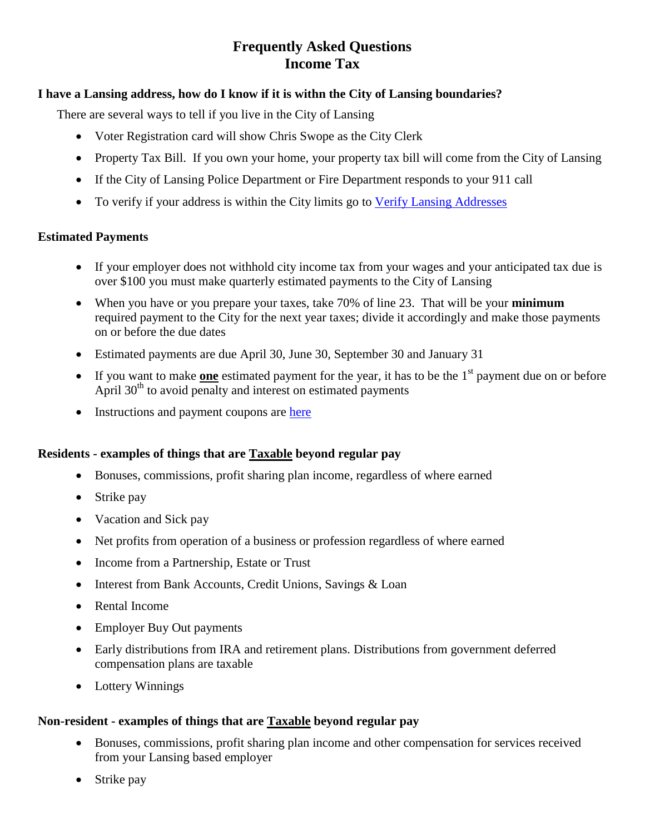# **Frequently Asked Questions Income Tax**

# **I have a Lansing address, how do I know if it is withn the City of Lansing boundaries?**

There are several ways to tell if you live in the City of Lansing

- Voter Registration card will show Chris Swope as the City Clerk
- Property Tax Bill. If you own your home, your property tax bill will come from the City of Lansing
- If the City of Lansing Police Department or Fire Department responds to your 911 call
- To verify if your address is within the City limits go to [Verify Lansing Addresses](https://is.bsasoftware.com/bsa.is/TaxServices/ServiceTaxSearch.aspx?i=3&appid=1&unit=384)

# **Estimated Payments**

- If your employer does not withhold city income tax from your wages and your anticipated tax due is over \$100 you must make quarterly estimated payments to the City of Lansing
- When you have or you prepare your taxes, take 70% of line 23. That will be your **minimum** required payment to the City for the next year taxes; divide it accordingly and make those payments on or before the due dates
- Estimated payments are due April 30, June 30, September 30 and January 31
- If you want to make **one** estimated payment for the year, it has to be the  $1<sup>st</sup>$  payment due on or before April  $30<sup>th</sup>$  to avoid penalty and interest on estimated payments
- Instructions and payment coupons are [here](http://www.lansingmi.gov/individual_form)

# **Residents - examples of things that are Taxable beyond regular pay**

- Bonuses, commissions, profit sharing plan income, regardless of where earned
- Strike pay
- Vacation and Sick pay
- Net profits from operation of a business or profession regardless of where earned
- Income from a Partnership, Estate or Trust
- Interest from Bank Accounts, Credit Unions, Savings & Loan
- Rental Income
- Employer Buy Out payments
- Early distributions from IRA and retirement plans. Distributions from government deferred compensation plans are taxable
- Lottery Winnings

# **Non-resident - examples of things that are Taxable beyond regular pay**

- Bonuses, commissions, profit sharing plan income and other compensation for services received from your Lansing based employer
- Strike pay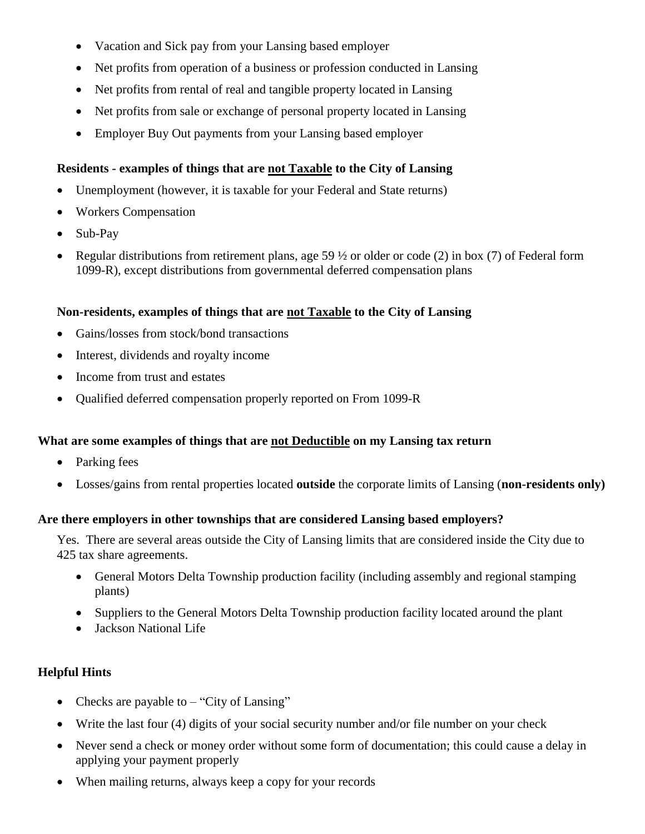- Vacation and Sick pay from your Lansing based employer
- Net profits from operation of a business or profession conducted in Lansing
- Net profits from rental of real and tangible property located in Lansing
- Net profits from sale or exchange of personal property located in Lansing
- Employer Buy Out payments from your Lansing based employer

# **Residents - examples of things that are not Taxable to the City of Lansing**

- Unemployment (however, it is taxable for your Federal and State returns)
- Workers Compensation
- Sub-Pay
- Regular distributions from retirement plans, age 59 ½ or older or code (2) in box (7) of Federal form 1099-R), except distributions from governmental deferred compensation plans

#### **Non-residents, examples of things that are not Taxable to the City of Lansing**

- Gains/losses from stock/bond transactions
- Interest, dividends and royalty income
- Income from trust and estates
- Qualified deferred compensation properly reported on From 1099-R

# **What are some examples of things that are not Deductible on my Lansing tax return**

- Parking fees
- Losses/gains from rental properties located **outside** the corporate limits of Lansing (**non-residents only)**

# **Are there employers in other townships that are considered Lansing based employers?**

Yes. There are several areas outside the City of Lansing limits that are considered inside the City due to 425 tax share agreements.

- General Motors Delta Township production facility (including assembly and regional stamping plants)
- Suppliers to the General Motors Delta Township production facility located around the plant
- Jackson National Life

# **Helpful Hints**

- Checks are payable to  $-$  "City of Lansing"
- Write the last four (4) digits of your social security number and/or file number on your check
- Never send a check or money order without some form of documentation; this could cause a delay in applying your payment properly
- When mailing returns, always keep a copy for your records